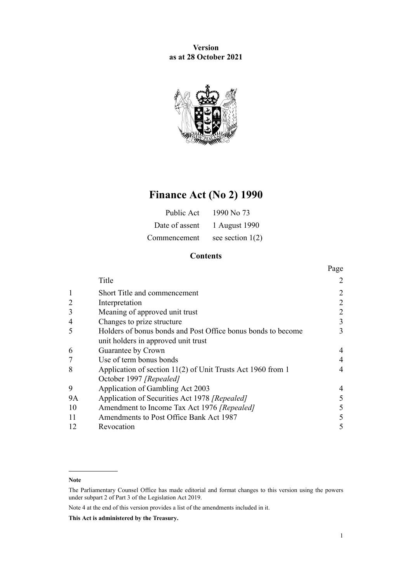**Version as at 28 October 2021**



# **Finance Act (No 2) 1990**

| Public Act     | 1990 No 73         |
|----------------|--------------------|
| Date of assent | 1 August 1990      |
| Commencement   | see section $1(2)$ |

# **Contents**

|                |                                                              | Page           |
|----------------|--------------------------------------------------------------|----------------|
|                | Title                                                        |                |
| $\mathbf{1}$   | Short Title and commencement                                 | 2              |
| $\overline{2}$ | Interpretation                                               | $\overline{2}$ |
| 3              | Meaning of approved unit trust                               | 2              |
| 4              | Changes to prize structure                                   | 3              |
| 5              | Holders of bonus bonds and Post Office bonus bonds to become | 3              |
|                | unit holders in approved unit trust                          |                |
| 6              | Guarantee by Crown                                           | 4              |
| 7              | Use of term bonus bonds                                      | 4              |
| 8              | Application of section 11(2) of Unit Trusts Act 1960 from 1  | 4              |
|                | October 1997 [Repealed]                                      |                |
| 9              | Application of Gambling Act 2003                             | 4              |
| <b>9A</b>      | Application of Securities Act 1978 [Repealed]                | 5              |
| 10             | Amendment to Income Tax Act 1976 [Repealed]                  | 5              |
| 11             | Amendments to Post Office Bank Act 1987                      | 5              |
| 12             | Revocation                                                   | 5              |

#### **Note**

The Parliamentary Counsel Office has made editorial and format changes to this version using the powers under [subpart 2](http://legislation.govt.nz/pdflink.aspx?id=DLM7298371) of Part 3 of the Legislation Act 2019.

Note 4 at the end of this version provides a list of the amendments included in it.

**This Act is administered by the Treasury.**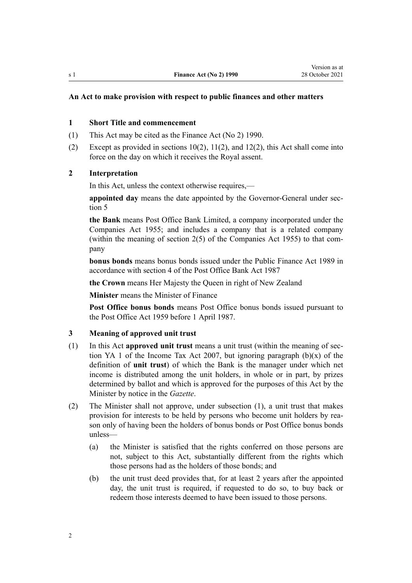## <span id="page-1-0"></span>**An Act to make provision with respect to public finances and other matters**

#### **1 Short Title and commencement**

- (1) This Act may be cited as the Finance Act (No 2) 1990.
- (2) Except as provided in [sections 10\(2\)](#page-4-0), [11\(2\),](#page-4-0) and [12\(2\),](#page-4-0) this Act shall come into force on the day on which it receives the Royal assent.

# **2 Interpretation**

In this Act, unless the context otherwise requires,—

**appointed day** means the date appointed by the Governor-General under [sec‐](#page-2-0) [tion 5](#page-2-0)

**the Bank** means Post Office Bank Limited, a company incorporated under the Companies Act 1955; and includes a company that is a related company (within the meaning of section  $2(5)$  of the Companies Act 1955) to that company

**bonus bonds** means bonus bonds issued under the [Public Finance Act 1989](http://legislation.govt.nz/pdflink.aspx?id=DLM160808) in accordance with [section 4](http://legislation.govt.nz/pdflink.aspx?id=DLM118779) of the Post Office Bank Act 1987

**the Crown** means Her Majesty the Queen in right of New Zealand

**Minister** means the Minister of Finance

**Post Office bonus bonds** means Post Office bonus bonds issued pursuant to the Post Office Act 1959 before 1 April 1987.

### **3 Meaning of approved unit trust**

- (1) In this Act **approved unit trust** means a unit trust (within the meaning of [sec‐](http://legislation.govt.nz/pdflink.aspx?id=DLM1520575) [tion YA 1](http://legislation.govt.nz/pdflink.aspx?id=DLM1520575) of the Income Tax Act 2007, but ignoring paragraph  $(b)(x)$  of the definition of **unit trust**) of which the Bank is the manager under which net income is distributed among the unit holders, in whole or in part, by prizes determined by ballot and which is approved for the purposes of this Act by the Minister by notice in the *Gazette*.
- (2) The Minister shall not approve, under subsection (1), a unit trust that makes provision for interests to be held by persons who become unit holders by reason only of having been the holders of bonus bonds or Post Office bonus bonds unless—
	- (a) the Minister is satisfied that the rights conferred on those persons are not, subject to this Act, substantially different from the rights which those persons had as the holders of those bonds; and
	- (b) the unit trust deed provides that, for at least 2 years after the appointed day, the unit trust is required, if requested to do so, to buy back or redeem those interests deemed to have been issued to those persons.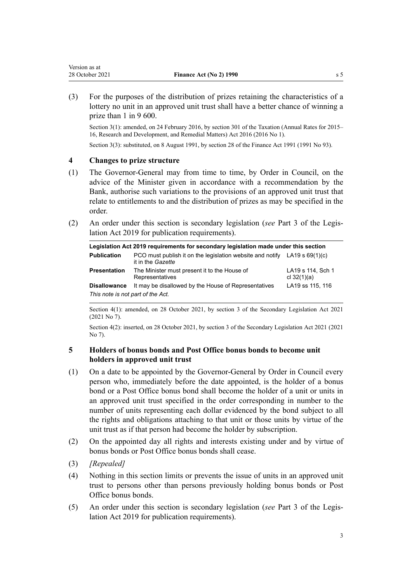<span id="page-2-0"></span>(3) For the purposes of the distribution of prizes retaining the characteristics of a lottery no unit in an approved unit trust shall have a better chance of winning a prize than 1 in 9 600.

Section 3(1): amended, on 24 February 2016, by [section 301](http://legislation.govt.nz/pdflink.aspx?id=DLM6392034) of the Taxation (Annual Rates for 2015– 16, Research and Development, and Remedial Matters) Act 2016 (2016 No 1).

Section 3(3): substituted, on 8 August 1991, by [section 28](http://legislation.govt.nz/pdflink.aspx?id=DLM248741) of the Finance Act 1991 (1991 No 93).

### **4 Changes to prize structure**

- (1) The Governor-General may from time to time, by Order in Council, on the advice of the Minister given in accordance with a recommendation by the Bank, authorise such variations to the provisions of an approved unit trust that relate to entitlements to and the distribution of prizes as may be specified in the order.
- (2) An order under this section is secondary legislation (*see* [Part 3](http://legislation.govt.nz/pdflink.aspx?id=DLM7298343) of the Legis‐ lation Act 2019 for publication requirements).

| Legislation Act 2019 requirements for secondary legislation made under this section |                                                                                                  |                                    |  |  |
|-------------------------------------------------------------------------------------|--------------------------------------------------------------------------------------------------|------------------------------------|--|--|
| <b>Publication</b>                                                                  | PCO must publish it on the legislation website and notify LA19 s $69(1)(c)$<br>it in the Gazette |                                    |  |  |
| <b>Presentation</b>                                                                 | The Minister must present it to the House of<br>Representatives                                  | LA19 s 114, Sch 1<br>cl $32(1)(a)$ |  |  |
| <b>Disallowance</b>                                                                 | It may be disallowed by the House of Representatives                                             | LA19 ss 115, 116                   |  |  |
| This note is not part of the Act.                                                   |                                                                                                  |                                    |  |  |

Section 4(1): amended, on 28 October 2021, by [section 3](http://legislation.govt.nz/pdflink.aspx?id=LMS268932) of the Secondary Legislation Act 2021 (2021 No 7).

Section 4(2): inserted, on 28 October 2021, by [section 3](http://legislation.govt.nz/pdflink.aspx?id=LMS268932) of the Secondary Legislation Act 2021 (2021 No 7).

# **5 Holders of bonus bonds and Post Office bonus bonds to become unit holders in approved unit trust**

- (1) On a date to be appointed by the Governor-General by Order in Council every person who, immediately before the date appointed, is the holder of a bonus bond or a Post Office bonus bond shall become the holder of a unit or units in an approved unit trust specified in the order corresponding in number to the number of units representing each dollar evidenced by the bond subject to all the rights and obligations attaching to that unit or those units by virtue of the unit trust as if that person had become the holder by subscription.
- (2) On the appointed day all rights and interests existing under and by virtue of bonus bonds or Post Office bonus bonds shall cease.
- (3) *[Repealed]*
- (4) Nothing in this section limits or prevents the issue of units in an approved unit trust to persons other than persons previously holding bonus bonds or Post Office bonus bonds.
- (5) An order under this section is secondary legislation (*see* [Part 3](http://legislation.govt.nz/pdflink.aspx?id=DLM7298343) of the Legis‐ lation Act 2019 for publication requirements).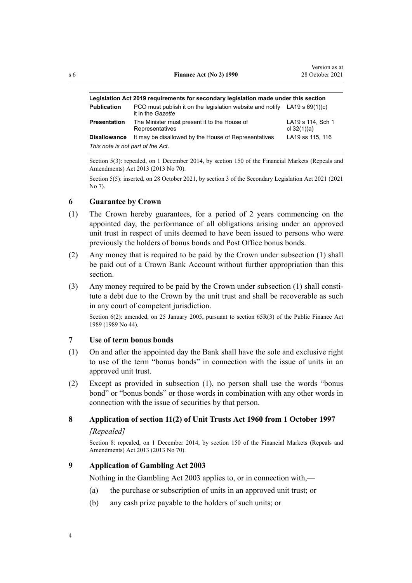<span id="page-3-0"></span>

| Legislation Act 2019 requirements for secondary legislation made under this section |                                                                                                  |                                    |  |  |
|-------------------------------------------------------------------------------------|--------------------------------------------------------------------------------------------------|------------------------------------|--|--|
| <b>Publication</b>                                                                  | PCO must publish it on the legislation website and notify LA19 s $69(1)(c)$<br>it in the Gazette |                                    |  |  |
| <b>Presentation</b>                                                                 | The Minister must present it to the House of<br>Representatives                                  | LA19 s 114, Sch 1<br>cl $32(1)(a)$ |  |  |
| <b>Disallowance</b>                                                                 | It may be disallowed by the House of Representatives                                             | LA19 ss 115, 116                   |  |  |
| This note is not part of the Act.                                                   |                                                                                                  |                                    |  |  |

Section 5(3): repealed, on 1 December 2014, by [section 150](http://legislation.govt.nz/pdflink.aspx?id=DLM5561603) of the Financial Markets (Repeals and Amendments) Act 2013 (2013 No 70).

Section 5(5): inserted, on 28 October 2021, by [section 3](http://legislation.govt.nz/pdflink.aspx?id=LMS268932) of the Secondary Legislation Act 2021 (2021 No 7).

## **6 Guarantee by Crown**

- (1) The Crown hereby guarantees, for a period of 2 years commencing on the appointed day, the performance of all obligations arising under an approved unit trust in respect of units deemed to have been issued to persons who were previously the holders of bonus bonds and Post Office bonus bonds.
- (2) Any money that is required to be paid by the Crown under subsection (1) shall be paid out of a Crown Bank Account without further appropriation than this section.
- (3) Any money required to be paid by the Crown under subsection (1) shall consti‐ tute a debt due to the Crown by the unit trust and shall be recoverable as such in any court of competent jurisdiction.

Section 6(2): amended, on 25 January 2005, pursuant to [section 65R\(3\)](http://legislation.govt.nz/pdflink.aspx?id=DLM162942) of the Public Finance Act 1989 (1989 No 44).

### **7 Use of term bonus bonds**

- (1) On and after the appointed day the Bank shall have the sole and exclusive right to use of the term "bonus bonds" in connection with the issue of units in an approved unit trust.
- (2) Except as provided in subsection (1), no person shall use the words "bonus bond" or "bonus bonds" or those words in combination with any other words in connection with the issue of securities by that person.

## **8 Application of section 11(2) of Unit Trusts Act 1960 from 1 October 1997**

## *[Repealed]*

Section 8: repealed, on 1 December 2014, by [section 150](http://legislation.govt.nz/pdflink.aspx?id=DLM5561603) of the Financial Markets (Repeals and Amendments) Act 2013 (2013 No 70).

# **9 Application of Gambling Act 2003**

Nothing in the [Gambling Act 2003](http://legislation.govt.nz/pdflink.aspx?id=DLM207496) applies to, or in connection with,—

- (a) the purchase or subscription of units in an approved unit trust; or
- (b) any cash prize payable to the holders of such units; or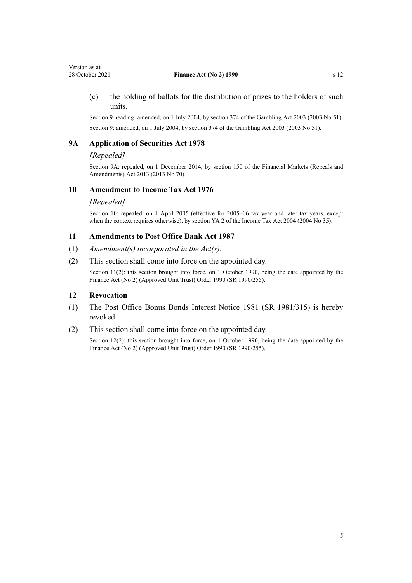<span id="page-4-0"></span>(c) the holding of ballots for the distribution of prizes to the holders of such units.

Section 9 heading: amended, on 1 July 2004, by [section 374](http://legislation.govt.nz/pdflink.aspx?id=DLM210735) of the Gambling Act 2003 (2003 No 51). Section 9: amended, on 1 July 2004, by [section 374](http://legislation.govt.nz/pdflink.aspx?id=DLM210735) of the Gambling Act 2003 (2003 No 51).

### **9A Application of Securities Act 1978**

### *[Repealed]*

Section 9A: repealed, on 1 December 2014, by [section 150](http://legislation.govt.nz/pdflink.aspx?id=DLM5561603) of the Financial Markets (Repeals and Amendments) Act 2013 (2013 No 70).

### **10 Amendment to Income Tax Act 1976**

### *[Repealed]*

Section 10: repealed, on 1 April 2005 (effective for 2005–06 tax year and later tax years, except when the context requires otherwise), by [section YA 2](http://legislation.govt.nz/pdflink.aspx?id=DLM277147) of the Income Tax Act 2004 (2004 No 35).

### **11 Amendments to Post Office Bank Act 1987**

- (1) *Amendment(s) incorporated in the [Act\(s\)](http://legislation.govt.nz/pdflink.aspx?id=DLM118758)*.
- (2) This section shall come into force on the appointed day.

Section 11(2): this section brought into force, on 1 October 1990, being the date appointed by the Finance Act (No 2) (Approved Unit Trust) Order 1990 (SR 1990/255).

### **12 Revocation**

- (1) The Post Office Bonus Bonds Interest Notice 1981 (SR 1981/315) is hereby revoked.
- (2) This section shall come into force on the appointed day.

Section 12(2): this section brought into force, on 1 October 1990, being the date appointed by the Finance Act (No 2) (Approved Unit Trust) Order 1990 (SR 1990/255).